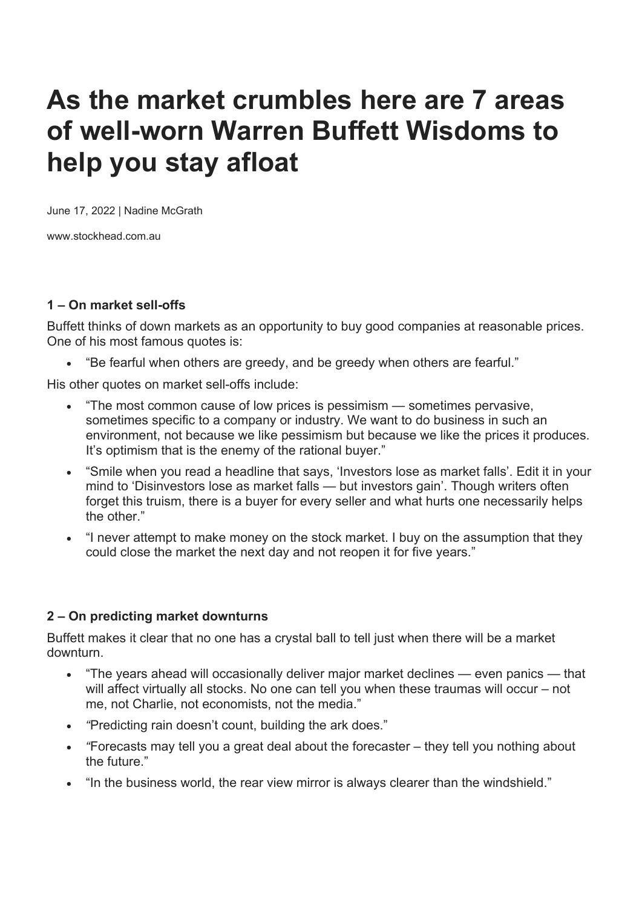# **As the market crumbles here are 7 areas of well-worn Warren Buffett Wisdoms to help you stay afloat**

June 17, 2022 | Nadine McGrath

www.stockhead.com.au

#### **1 – On market sell-offs**

Buffett thinks of down markets as an opportunity to buy good companies at reasonable prices. One of his most famous quotes is:

"Be fearful when others are greedy, and be greedy when others are fearful."

His other quotes on market sell-offs include:

- "The most common cause of low prices is pessimism sometimes pervasive, sometimes specific to a company or industry. We want to do business in such an environment, not because we like pessimism but because we like the prices it produces. It's optimism that is the enemy of the rational buyer."
- "Smile when you read a headline that says, 'Investors lose as market falls'. Edit it in your mind to 'Disinvestors lose as market falls — but investors gain'. Though writers often forget this truism, there is a buyer for every seller and what hurts one necessarily helps the other."
- "I never attempt to make money on the stock market. I buy on the assumption that they could close the market the next day and not reopen it for five years."

### **2 – On predicting market downturns**

Buffett makes it clear that no one has a crystal ball to tell just when there will be a market downturn.

- "The years ahead will occasionally deliver major market declines even panics that will affect virtually all stocks. No one can tell you when these traumas will occur – not me, not Charlie, not economists, not the media."
- *"*Predicting rain doesn't count, building the ark does."
- *"*Forecasts may tell you a great deal about the forecaster they tell you nothing about the future."
- "In the business world, the rear view mirror is always clearer than the windshield."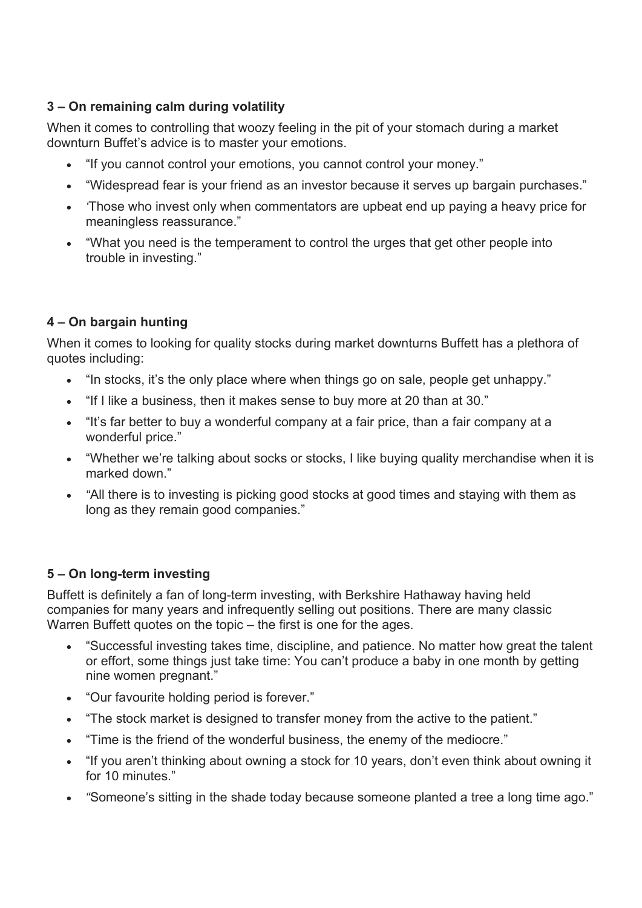## **3 – On remaining calm during volatility**

When it comes to controlling that woozy feeling in the pit of your stomach during a market downturn Buffet's advice is to master your emotions.

- "If you cannot control your emotions, you cannot control your money."
- "Widespread fear is your friend as an investor because it serves up bargain purchases."
- *'*Those who invest only when commentators are upbeat end up paying a heavy price for meaningless reassurance."
- "What you need is the temperament to control the urges that get other people into trouble in investing."

## **4 – On bargain hunting**

When it comes to looking for quality stocks during market downturns Buffett has a plethora of quotes including:

- "In stocks, it's the only place where when things go on sale, people get unhappy."
- "If I like a business, then it makes sense to buy more at 20 than at 30."
- "It's far better to buy a wonderful company at a fair price, than a fair company at a wonderful price."
- "Whether we're talking about socks or stocks, I like buying quality merchandise when it is marked down."
- *"*All there is to investing is picking good stocks at good times and staying with them as long as they remain good companies."

## **5 – On long-term investing**

Buffett is definitely a fan of long-term investing, with Berkshire Hathaway having held companies for many years and infrequently selling out positions. There are many classic Warren Buffett quotes on the topic – the first is one for the ages.

- "Successful investing takes time, discipline, and patience. No matter how great the talent or effort, some things just take time: You can't produce a baby in one month by getting nine women pregnant."
- "Our favourite holding period is forever."
- "The stock market is designed to transfer money from the active to the patient."
- "Time is the friend of the wonderful business, the enemy of the mediocre."
- "If you aren't thinking about owning a stock for 10 years, don't even think about owning it for 10 minutes."
- *"*Someone's sitting in the shade today because someone planted a tree a long time ago."